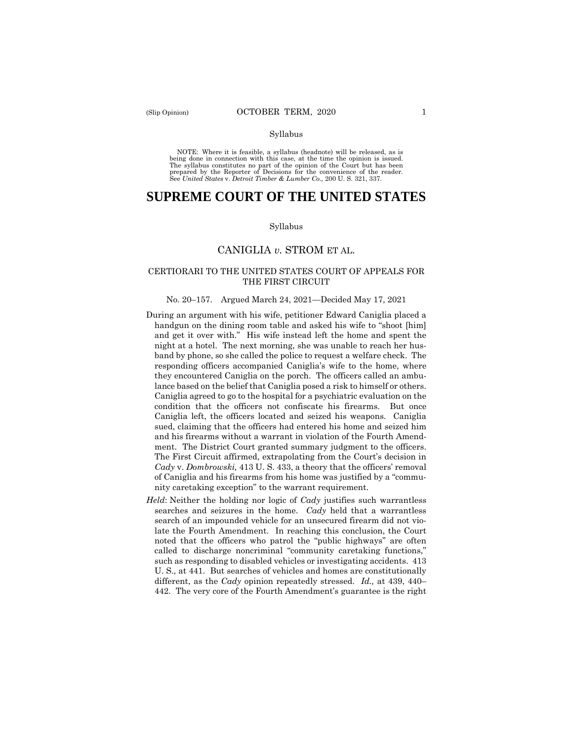#### Syllabus

 NOTE: Where it is feasible, a syllabus (headnote) will be released, as is being done in connection with this case, at the time the opinion is issued. The syllabus constitutes no part of the opinion of the Court but has been<br>prepared by the Reporter of Decisions for the convenience of the reader.<br>See United States v. Detroit Timber & Lumber Co., 200 U.S. 321, 337.

# **SUPREME COURT OF THE UNITED STATES**

#### Syllabus

## CANIGLIA *v.* STROM ET AL.

## CERTIORARI TO THE UNITED STATES COURT OF APPEALS FOR THE FIRST CIRCUIT

#### No. 20–157. Argued March 24, 2021—Decided May 17, 2021

- During an argument with his wife, petitioner Edward Caniglia placed a handgun on the dining room table and asked his wife to "shoot [him] and get it over with." His wife instead left the home and spent the night at a hotel. The next morning, she was unable to reach her husband by phone, so she called the police to request a welfare check. The responding officers accompanied Caniglia's wife to the home, where they encountered Caniglia on the porch. The officers called an ambulance based on the belief that Caniglia posed a risk to himself or others. Caniglia agreed to go to the hospital for a psychiatric evaluation on the condition that the officers not confiscate his firearms. But once Caniglia left, the officers located and seized his weapons. Caniglia sued, claiming that the officers had entered his home and seized him and his firearms without a warrant in violation of the Fourth Amendment. The District Court granted summary judgment to the officers. The First Circuit affirmed, extrapolating from the Court's decision in *Cady* v. *Dombrowski,* 413 U. S. 433, a theory that the officers' removal of Caniglia and his firearms from his home was justified by a "community caretaking exception" to the warrant requirement.
- different, as the *Cady* opinion repeatedly stressed. *Id.,* at 439, 440– *Held*: Neither the holding nor logic of *Cady* justifies such warrantless searches and seizures in the home. *Cady* held that a warrantless search of an impounded vehicle for an unsecured firearm did not violate the Fourth Amendment. In reaching this conclusion, the Court noted that the officers who patrol the "public highways" are often called to discharge noncriminal "community caretaking functions," such as responding to disabled vehicles or investigating accidents. 413 U. S., at 441. But searches of vehicles and homes are constitutionally 442. The very core of the Fourth Amendment's guarantee is the right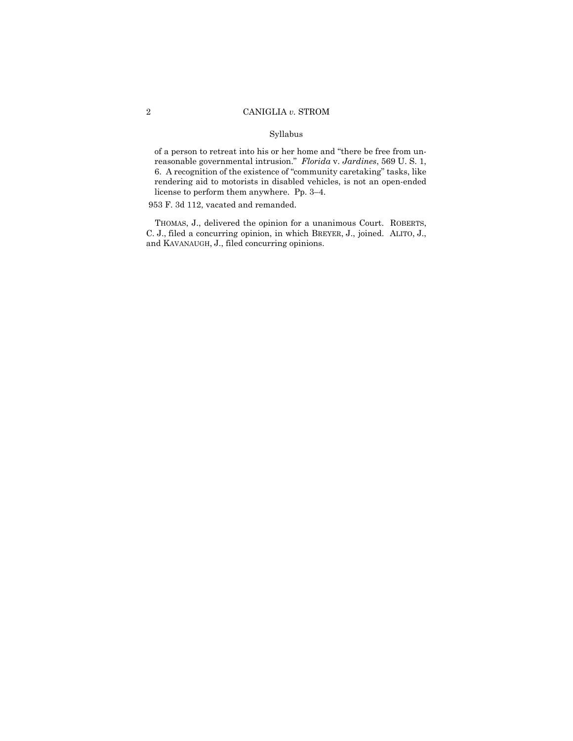### Syllabus

of a person to retreat into his or her home and "there be free from unreasonable governmental intrusion." *Florida* v. *Jardines*, 569 U. S. 1, 6. A recognition of the existence of "community caretaking" tasks, like rendering aid to motorists in disabled vehicles, is not an open-ended license to perform them anywhere. Pp. 3–4.

953 F. 3d 112, vacated and remanded.

 C. J., filed a concurring opinion, in which BREYER, J., joined. ALITO, J., THOMAS, J., delivered the opinion for a unanimous Court. ROBERTS, and KAVANAUGH, J., filed concurring opinions.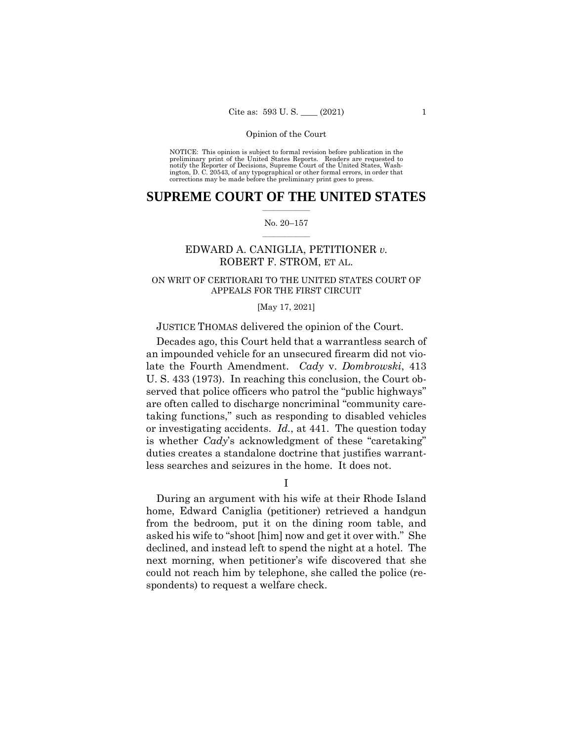#### Opinion of the Court

 NOTICE: This opinion is subject to formal revision before publication in the preliminary print of the United States Reports. Readers are requested to notify the Reporter of Decisions, Supreme Court of the United States, Wash-ington, D. C. 20543, of any typographical or other formal errors, in order that corrections may be made before the preliminary print goes to press.

## $\frac{1}{2}$  , where  $\frac{1}{2}$ **SUPREME COURT OF THE UNITED STATES**

#### $\frac{1}{2}$  ,  $\frac{1}{2}$  ,  $\frac{1}{2}$  ,  $\frac{1}{2}$  ,  $\frac{1}{2}$  ,  $\frac{1}{2}$ No. 20–157

## EDWARD A. CANIGLIA, PETITIONER *v.* ROBERT F. STROM, ET AL.

## ON WRIT OF CERTIORARI TO THE UNITED STATES COURT OF APPEALS FOR THE FIRST CIRCUIT

#### [May 17, 2021]

## JUSTICE THOMAS delivered the opinion of the Court.

Decades ago, this Court held that a warrantless search of an impounded vehicle for an unsecured firearm did not violate the Fourth Amendment. *Cady* v. *Dombrowski*, 413 U. S. 433 (1973). In reaching this conclusion, the Court observed that police officers who patrol the "public highways" are often called to discharge noncriminal "community caretaking functions," such as responding to disabled vehicles or investigating accidents. *Id.*, at 441. The question today is whether *Cady*'s acknowledgment of these "caretaking" duties creates a standalone doctrine that justifies warrantless searches and seizures in the home. It does not.

I

During an argument with his wife at their Rhode Island home, Edward Caniglia (petitioner) retrieved a handgun from the bedroom, put it on the dining room table, and asked his wife to "shoot [him] now and get it over with." She declined, and instead left to spend the night at a hotel. The next morning, when petitioner's wife discovered that she could not reach him by telephone, she called the police (respondents) to request a welfare check.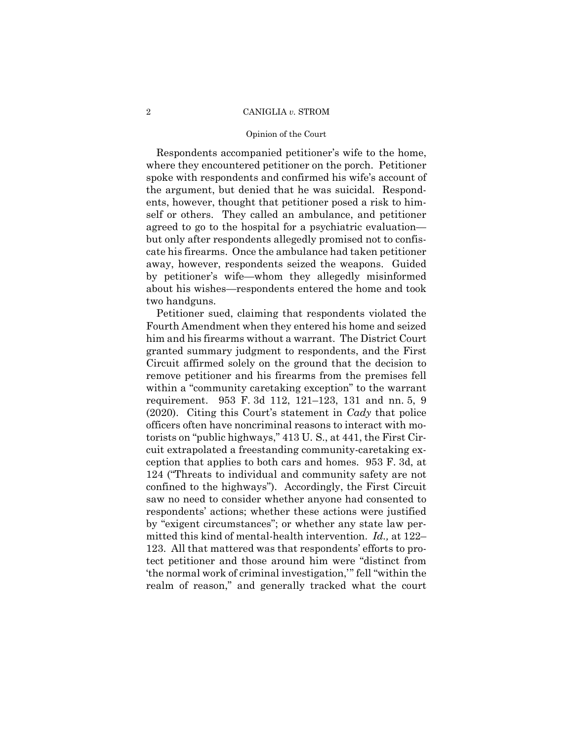#### Opinion of the Court

Respondents accompanied petitioner's wife to the home, where they encountered petitioner on the porch. Petitioner spoke with respondents and confirmed his wife's account of the argument, but denied that he was suicidal. Respondents, however, thought that petitioner posed a risk to himself or others. They called an ambulance, and petitioner agreed to go to the hospital for a psychiatric evaluation but only after respondents allegedly promised not to confiscate his firearms. Once the ambulance had taken petitioner away, however, respondents seized the weapons. Guided by petitioner's wife—whom they allegedly misinformed about his wishes—respondents entered the home and took two handguns.

 ception that applies to both cars and homes. 953 F. 3d, at Petitioner sued, claiming that respondents violated the Fourth Amendment when they entered his home and seized him and his firearms without a warrant. The District Court granted summary judgment to respondents, and the First Circuit affirmed solely on the ground that the decision to remove petitioner and his firearms from the premises fell within a "community caretaking exception" to the warrant requirement. 953 F. 3d 112, 121–123, 131 and nn. 5, 9 (2020). Citing this Court's statement in *Cady* that police officers often have noncriminal reasons to interact with motorists on "public highways," 413 U. S., at 441, the First Circuit extrapolated a freestanding community-caretaking ex-124 ("Threats to individual and community safety are not confined to the highways"). Accordingly, the First Circuit saw no need to consider whether anyone had consented to respondents' actions; whether these actions were justified by "exigent circumstances"; or whether any state law permitted this kind of mental-health intervention. *Id.,* at 122– 123. All that mattered was that respondents' efforts to protect petitioner and those around him were "distinct from 'the normal work of criminal investigation,'" fell "within the realm of reason," and generally tracked what the court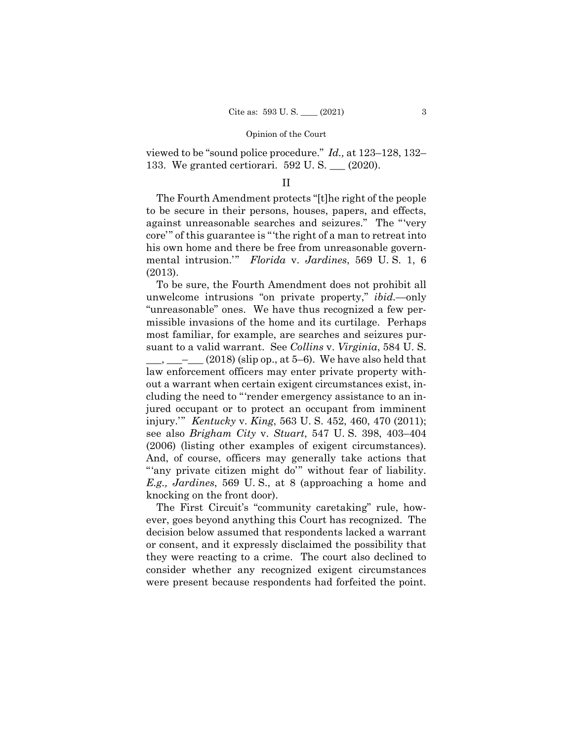#### Opinion of the Court

viewed to be "sound police procedure." *Id.,* at 123–128, 132– 133. We granted certiorari. 592 U. S. \_\_\_ (2020).

### II

The Fourth Amendment protects "[t]he right of the people to be secure in their persons, houses, papers, and effects, against unreasonable searches and seizures." The "'very core'" of this guarantee is "'the right of a man to retreat into his own home and there be free from unreasonable governmental intrusion.'" *Florida* v. *Jardines*, 569 U. S. 1, 6 (2013).

To be sure, the Fourth Amendment does not prohibit all unwelcome intrusions "on private property," *ibid.*—only "unreasonable" ones. We have thus recognized a few permissible invasions of the home and its curtilage. Perhaps most familiar, for example, are searches and seizures pursuant to a valid warrant. See *Collins* v. *Virginia*, 584 U. S.  $\_, \_\_\_$  –  $\_\_$  (2018) (slip op., at 5–6). We have also held that law enforcement officers may enter private property without a warrant when certain exigent circumstances exist, including the need to "'render emergency assistance to an injured occupant or to protect an occupant from imminent injury.'" *Kentucky* v. *King*, 563 U. S. 452, 460, 470 (2011); see also *Brigham City* v. *Stuart*, 547 U. S. 398, 403–404 (2006) (listing other examples of exigent circumstances). And, of course, officers may generally take actions that "'any private citizen might do'" without fear of liability. *E.g., Jardines*, 569 U. S., at 8 (approaching a home and knocking on the front door).

The First Circuit's "community caretaking" rule, however, goes beyond anything this Court has recognized. The decision below assumed that respondents lacked a warrant or consent, and it expressly disclaimed the possibility that they were reacting to a crime. The court also declined to consider whether any recognized exigent circumstances were present because respondents had forfeited the point.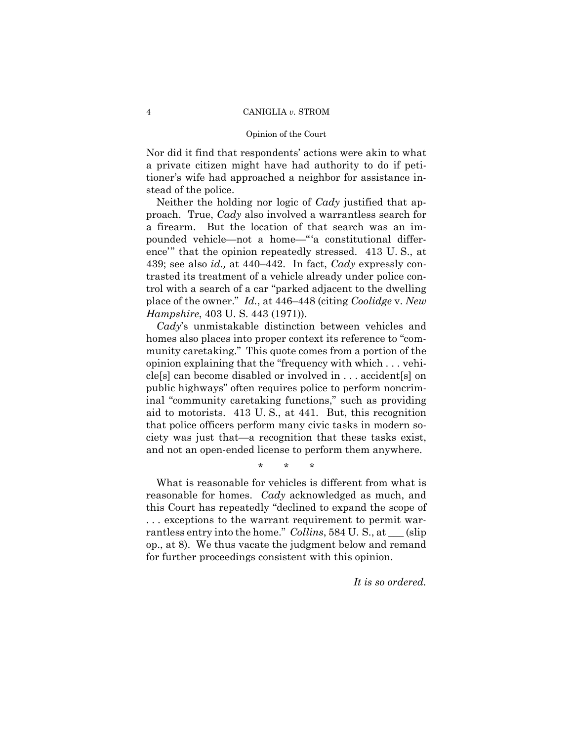#### Opinion of the Court

Nor did it find that respondents' actions were akin to what a private citizen might have had authority to do if petitioner's wife had approached a neighbor for assistance instead of the police.

Neither the holding nor logic of *Cady* justified that approach. True, *Cady* also involved a warrantless search for a firearm. But the location of that search was an impounded vehicle—not a home—"'a constitutional difference'" that the opinion repeatedly stressed. 413 U. S., at 439; see also *id.,* at 440–442. In fact, *Cady* expressly contrasted its treatment of a vehicle already under police control with a search of a car "parked adjacent to the dwelling place of the owner." *Id.*, at 446–448 (citing *Coolidge* v. *New Hampshire*, 403 U. S. 443 (1971)).

*Cady*'s unmistakable distinction between vehicles and homes also places into proper context its reference to "community caretaking." This quote comes from a portion of the opinion explaining that the "frequency with which . . . vehicle[s] can become disabled or involved in . . . accident[s] on public highways" often requires police to perform noncriminal "community caretaking functions," such as providing aid to motorists. 413 U. S., at 441. But, this recognition that police officers perform many civic tasks in modern society was just that—a recognition that these tasks exist, and not an open-ended license to perform them anywhere.

\* \* \*

What is reasonable for vehicles is different from what is reasonable for homes. *Cady* acknowledged as much, and this Court has repeatedly "declined to expand the scope of . . . exceptions to the warrant requirement to permit warrantless entry into the home." *Collins*, 584 U. S., at \_\_\_ (slip op., at 8). We thus vacate the judgment below and remand for further proceedings consistent with this opinion.

*It is so ordered.*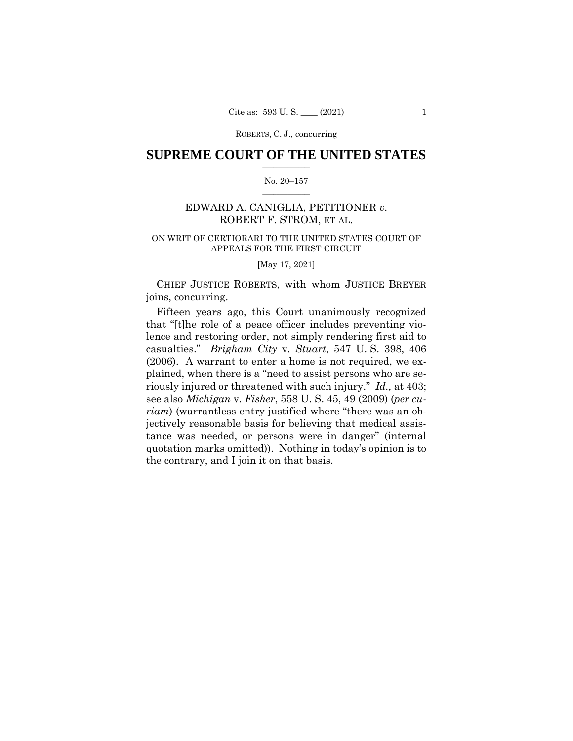ROBERTS, C. J., concurring

## $\frac{1}{2}$  , where  $\frac{1}{2}$ **SUPREME COURT OF THE UNITED STATES**

### $\frac{1}{2}$  ,  $\frac{1}{2}$  ,  $\frac{1}{2}$  ,  $\frac{1}{2}$  ,  $\frac{1}{2}$  ,  $\frac{1}{2}$ No. 20–157

## EDWARD A. CANIGLIA, PETITIONER *v.* ROBERT F. STROM, ET AL.

## ON WRIT OF CERTIORARI TO THE UNITED STATES COURT OF APPEALS FOR THE FIRST CIRCUIT

[May 17, 2021]

CHIEF JUSTICE ROBERTS, with whom JUSTICE BREYER joins, concurring.

 riously injured or threatened with such injury." *Id.,* at 403; Fifteen years ago, this Court unanimously recognized that "[t]he role of a peace officer includes preventing violence and restoring order, not simply rendering first aid to casualties." *Brigham City* v. *Stuart*, 547 U. S. 398, 406 (2006). A warrant to enter a home is not required, we explained, when there is a "need to assist persons who are sesee also *Michigan* v. *Fisher*, 558 U. S. 45, 49 (2009) (*per curiam*) (warrantless entry justified where "there was an objectively reasonable basis for believing that medical assistance was needed, or persons were in danger" (internal quotation marks omitted)). Nothing in today's opinion is to the contrary, and I join it on that basis.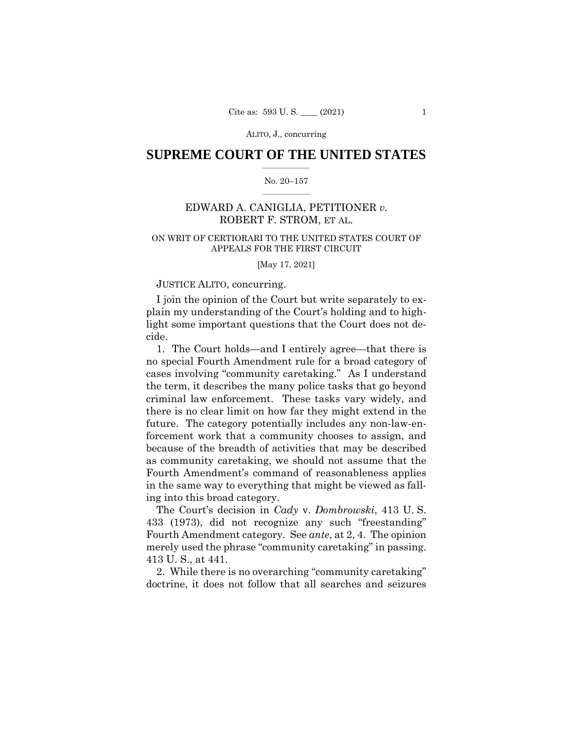ALITO, J., concurring

## $\frac{1}{2}$  , where  $\frac{1}{2}$ **SUPREME COURT OF THE UNITED STATES**

#### $\frac{1}{2}$  ,  $\frac{1}{2}$  ,  $\frac{1}{2}$  ,  $\frac{1}{2}$  ,  $\frac{1}{2}$  ,  $\frac{1}{2}$ No. 20–157

## EDWARD A. CANIGLIA, PETITIONER *v.* ROBERT F. STROM, ET AL.

## ON WRIT OF CERTIORARI TO THE UNITED STATES COURT OF APPEALS FOR THE FIRST CIRCUIT

[May 17, 2021]

## JUSTICE ALITO, concurring.

I join the opinion of the Court but write separately to explain my understanding of the Court's holding and to highlight some important questions that the Court does not decide.

1. The Court holds—and I entirely agree—that there is no special Fourth Amendment rule for a broad category of cases involving "community caretaking." As I understand the term, it describes the many police tasks that go beyond criminal law enforcement. These tasks vary widely, and there is no clear limit on how far they might extend in the future. The category potentially includes any non-law-enforcement work that a community chooses to assign, and because of the breadth of activities that may be described as community caretaking, we should not assume that the Fourth Amendment's command of reasonableness applies in the same way to everything that might be viewed as falling into this broad category.

The Court's decision in *Cady* v. *Dombrowski*, 413 U. S. 433 (1973), did not recognize any such "freestanding" Fourth Amendment category. See *ante*, at 2, 4. The opinion merely used the phrase "community caretaking" in passing. 413 U. S., at 441.

2. While there is no overarching "community caretaking" doctrine, it does not follow that all searches and seizures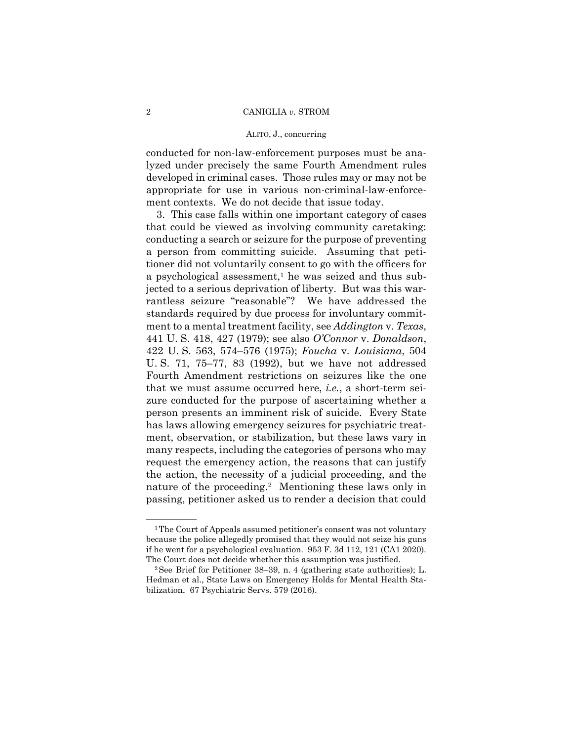#### ALITO, J., concurring

conducted for non-law-enforcement purposes must be analyzed under precisely the same Fourth Amendment rules developed in criminal cases. Those rules may or may not be appropriate for use in various non-criminal-law-enforcement contexts. We do not decide that issue today.

3. This case falls within one important category of cases that could be viewed as involving community caretaking: conducting a search or seizure for the purpose of preventing a person from committing suicide. Assuming that petitioner did not voluntarily consent to go with the officers for a psychological assessment, $<sup>1</sup>$  he was seized and thus sub-</sup> jected to a serious deprivation of liberty. But was this warrantless seizure "reasonable"? We have addressed the standards required by due process for involuntary commitment to a mental treatment facility, see *Addington* v. *Texas*, 441 U. S. 418, 427 (1979); see also *O'Connor* v. *Donaldson*, 422 U. S. 563, 574–576 (1975); *Foucha* v. *Louisiana*, 504 U. S. 71, 75–77, 83 (1992), but we have not addressed Fourth Amendment restrictions on seizures like the one that we must assume occurred here, *i.e.*, a short-term seizure conducted for the purpose of ascertaining whether a person presents an imminent risk of suicide. Every State has laws allowing emergency seizures for psychiatric treatment, observation, or stabilization, but these laws vary in many respects, including the categories of persons who may request the emergency action, the reasons that can justify the action, the necessity of a judicial proceeding, and the nature of the proceeding.<sup>2</sup> Mentioning these laws only in passing, petitioner asked us to render a decision that could

 if he went for a psychological evaluation. 953 F. 3d 112, 121 (CA1 2020). <sup>1</sup>The Court of Appeals assumed petitioner's consent was not voluntary because the police allegedly promised that they would not seize his guns

The Court does not decide whether this assumption was justified.<br><sup>2</sup>See Brief for Petitioner 38–39, n. 4 (gathering state authorities); L. Hedman et al., State Laws on Emergency Holds for Mental Health Stabilization, 67 Psychiatric Servs. 579 (2016).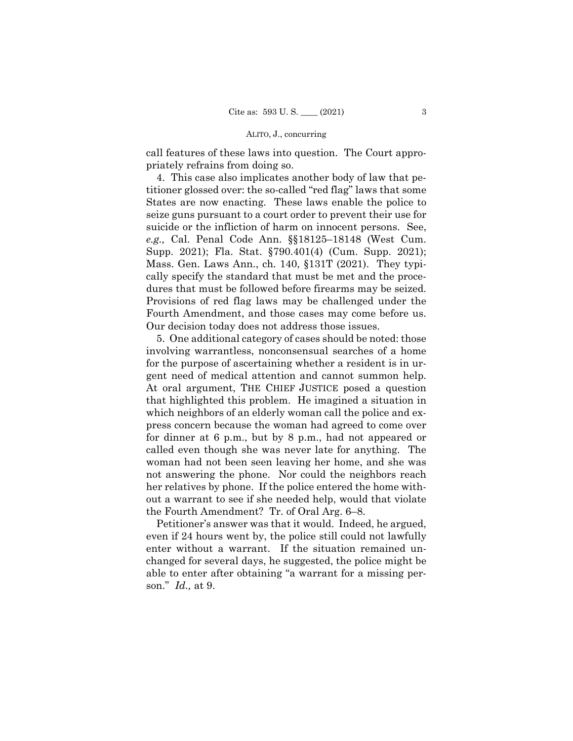#### ALITO, J., concurring

call features of these laws into question. The Court appropriately refrains from doing so.

4. This case also implicates another body of law that petitioner glossed over: the so-called "red flag" laws that some States are now enacting. These laws enable the police to seize guns pursuant to a court order to prevent their use for suicide or the infliction of harm on innocent persons. See, *e.g.,* Cal. Penal Code Ann. §§18125–18148 (West Cum. Supp. 2021); Fla. Stat. §790.401(4) (Cum. Supp. 2021); Mass. Gen. Laws Ann., ch. 140, §131T (2021). They typically specify the standard that must be met and the procedures that must be followed before firearms may be seized. Provisions of red flag laws may be challenged under the Fourth Amendment, and those cases may come before us. Our decision today does not address those issues.

 gent need of medical attention and cannot summon help. 5. One additional category of cases should be noted: those involving warrantless, nonconsensual searches of a home for the purpose of ascertaining whether a resident is in ur-At oral argument, THE CHIEF JUSTICE posed a question that highlighted this problem. He imagined a situation in which neighbors of an elderly woman call the police and express concern because the woman had agreed to come over for dinner at 6 p.m., but by 8 p.m., had not appeared or called even though she was never late for anything. The woman had not been seen leaving her home, and she was not answering the phone. Nor could the neighbors reach her relatives by phone. If the police entered the home without a warrant to see if she needed help, would that violate the Fourth Amendment? Tr. of Oral Arg. 6–8.

Petitioner's answer was that it would. Indeed, he argued, even if 24 hours went by, the police still could not lawfully enter without a warrant. If the situation remained unchanged for several days, he suggested, the police might be able to enter after obtaining "a warrant for a missing person." *Id.,* at 9.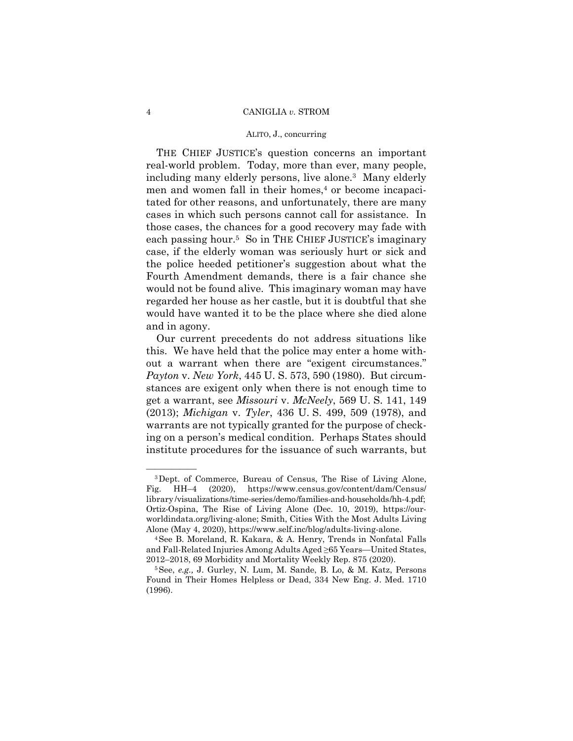#### ALITO, J., concurring

THE CHIEF JUSTICE's question concerns an important real-world problem. Today, more than ever, many people, including many elderly persons, live alone.3 Many elderly men and women fall in their homes,<sup>4</sup> or become incapacitated for other reasons, and unfortunately, there are many cases in which such persons cannot call for assistance. In those cases, the chances for a good recovery may fade with each passing hour.5 So in THE CHIEF JUSTICE's imaginary case, if the elderly woman was seriously hurt or sick and the police heeded petitioner's suggestion about what the Fourth Amendment demands, there is a fair chance she would not be found alive. This imaginary woman may have regarded her house as her castle, but it is doubtful that she would have wanted it to be the place where she died alone and in agony.

Our current precedents do not address situations like this. We have held that the police may enter a home without a warrant when there are "exigent circumstances." *Payton* v. *New York*, 445 U. S. 573, 590 (1980). But circumstances are exigent only when there is not enough time to get a warrant, see *Missouri* v. *McNeely*, 569 U. S. 141, 149 (2013); *Michigan* v. *Tyler*, 436 U. S. 499, 509 (1978), and warrants are not typically granted for the purpose of checking on a person's medical condition. Perhaps States should institute procedures for the issuance of such warrants, but

<sup>&</sup>lt;sup>3</sup>Dept. of Commerce, Bureau of Census, The Rise of Living Alone, Fig. HH–4 (2020), https://www.census.gov/content/dam/Census/ library /visualizations/time-series/demo/families-and-households/hh-4.pdf; Ortiz-Ospina, The Rise of Living Alone (Dec. 10, 2019), https://ourworldindata.org/living-alone; Smith, Cities With the Most Adults Living

Alone (May 4, 2020), https://www.self.inc/blog/adults-living-alone. 4See B. Moreland, R. Kakara, & A. Henry, Trends in Nonfatal Falls and Fall-Related Injuries Among Adults Aged ≥65 Years—United States, 2012–2018, 69 Morbidity and Mortality Weekly Rep. 875 (2020). 5See, *e.g.,* J. Gurley, N. Lum, M. Sande, B. Lo, & M. Katz, Persons

Found in Their Homes Helpless or Dead, 334 New Eng. J. Med. 1710 (1996).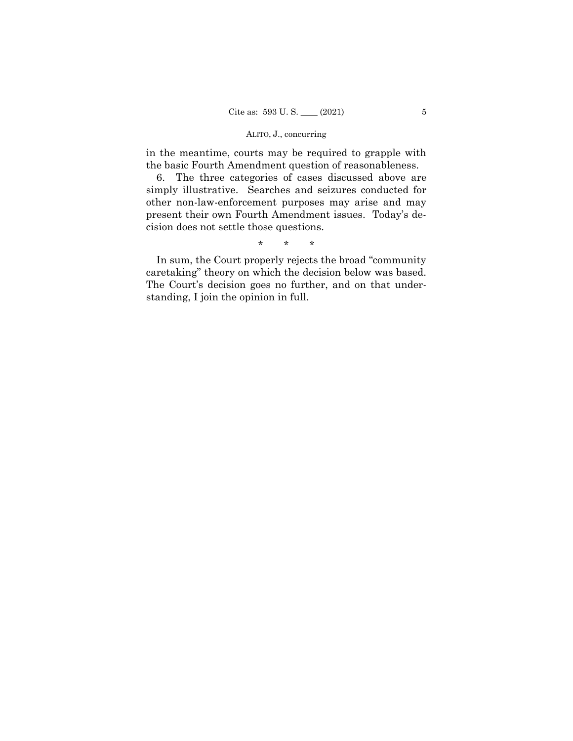## ALITO, J., concurring

in the meantime, courts may be required to grapple with the basic Fourth Amendment question of reasonableness.

6. The three categories of cases discussed above are simply illustrative. Searches and seizures conducted for other non-law-enforcement purposes may arise and may present their own Fourth Amendment issues. Today's decision does not settle those questions.

\* \* \*

 caretaking" theory on which the decision below was based. In sum, the Court properly rejects the broad "community The Court's decision goes no further, and on that understanding, I join the opinion in full.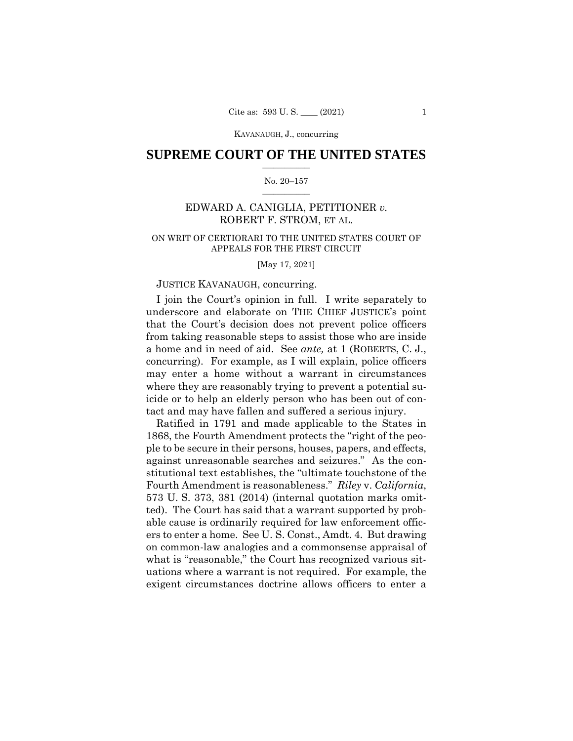KAVANAUGH, J., concurring

## $\frac{1}{2}$  , where  $\frac{1}{2}$ **SUPREME COURT OF THE UNITED STATES**

#### $\frac{1}{2}$  ,  $\frac{1}{2}$  ,  $\frac{1}{2}$  ,  $\frac{1}{2}$  ,  $\frac{1}{2}$  ,  $\frac{1}{2}$ No. 20–157

## EDWARD A. CANIGLIA, PETITIONER *v.* ROBERT F. STROM, ET AL.

## ON WRIT OF CERTIORARI TO THE UNITED STATES COURT OF APPEALS FOR THE FIRST CIRCUIT

[May 17, 2021]

### JUSTICE KAVANAUGH, concurring.

I join the Court's opinion in full. I write separately to underscore and elaborate on THE CHIEF JUSTICE's point that the Court's decision does not prevent police officers from taking reasonable steps to assist those who are inside a home and in need of aid. See *ante,* at 1 (ROBERTS, C. J., concurring). For example, as I will explain, police officers may enter a home without a warrant in circumstances where they are reasonably trying to prevent a potential suicide or to help an elderly person who has been out of contact and may have fallen and suffered a serious injury.

Ratified in 1791 and made applicable to the States in 1868, the Fourth Amendment protects the "right of the people to be secure in their persons, houses, papers, and effects, against unreasonable searches and seizures." As the constitutional text establishes, the "ultimate touchstone of the Fourth Amendment is reasonableness." *Riley* v. *California*, 573 U. S. 373, 381 (2014) (internal quotation marks omitted). The Court has said that a warrant supported by probable cause is ordinarily required for law enforcement officers to enter a home. See U. S. Const., Amdt. 4. But drawing on common-law analogies and a commonsense appraisal of what is "reasonable," the Court has recognized various situations where a warrant is not required. For example, the exigent circumstances doctrine allows officers to enter a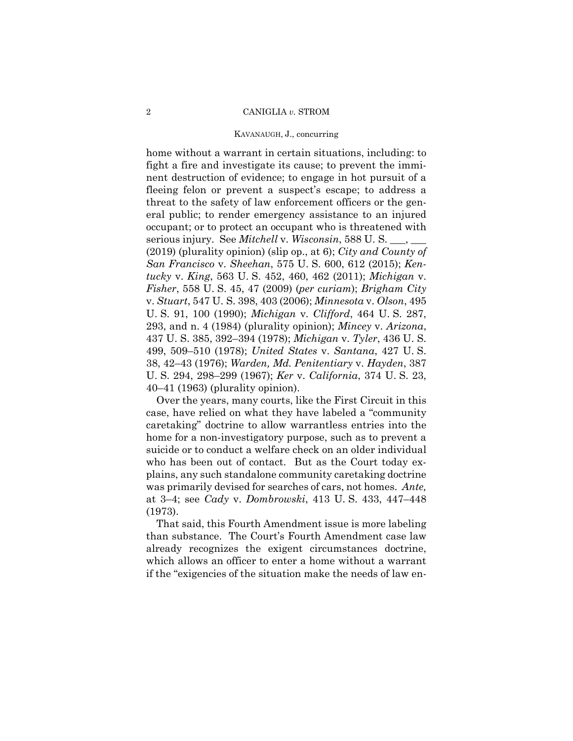#### KAVANAUGH, J., concurring

home without a warrant in certain situations, including: to fight a fire and investigate its cause; to prevent the imminent destruction of evidence; to engage in hot pursuit of a fleeing felon or prevent a suspect's escape; to address a threat to the safety of law enforcement officers or the general public; to render emergency assistance to an injured occupant; or to protect an occupant who is threatened with serious injury. See *Mitchell* v. *Wisconsin*, 588 U. S. \_\_\_, \_\_\_ (2019) (plurality opinion) (slip op., at 6); *City and County of San Francisco* v. *Sheehan*, 575 U. S. 600, 612 (2015); *Kentucky* v. *King*, 563 U. S. 452, 460, 462 (2011); *Michigan* v. *Fisher*, 558 U. S. 45, 47 (2009) (*per curiam*); *Brigham City*  v. *Stuart*, 547 U. S. 398, 403 (2006); *Minnesota* v. *Olson*, 495 U. S. 91, 100 (1990); *Michigan* v. *Clifford*, 464 U. S. 287, 293, and n. 4 (1984) (plurality opinion); *Mincey* v. *Arizona*, 437 U. S. 385, 392–394 (1978); *Michigan* v. *Tyler*, 436 U. S. 499, 509–510 (1978); *United States* v. *Santana*, 427 U. S. 38, 42–43 (1976); *Warden, Md. Penitentiary* v. *Hayden*, 387 U. S. 294, 298–299 (1967); *Ker* v. *California*, 374 U. S. 23, 40–41 (1963) (plurality opinion).

Over the years, many courts, like the First Circuit in this case, have relied on what they have labeled a "community caretaking" doctrine to allow warrantless entries into the home for a non-investigatory purpose, such as to prevent a suicide or to conduct a welfare check on an older individual who has been out of contact. But as the Court today explains, any such standalone community caretaking doctrine was primarily devised for searches of cars, not homes. *Ante,*  at 3–4; see *Cady* v. *Dombrowski*, 413 U. S. 433, 447–448 (1973).

That said, this Fourth Amendment issue is more labeling than substance. The Court's Fourth Amendment case law already recognizes the exigent circumstances doctrine, which allows an officer to enter a home without a warrant if the "exigencies of the situation make the needs of law en-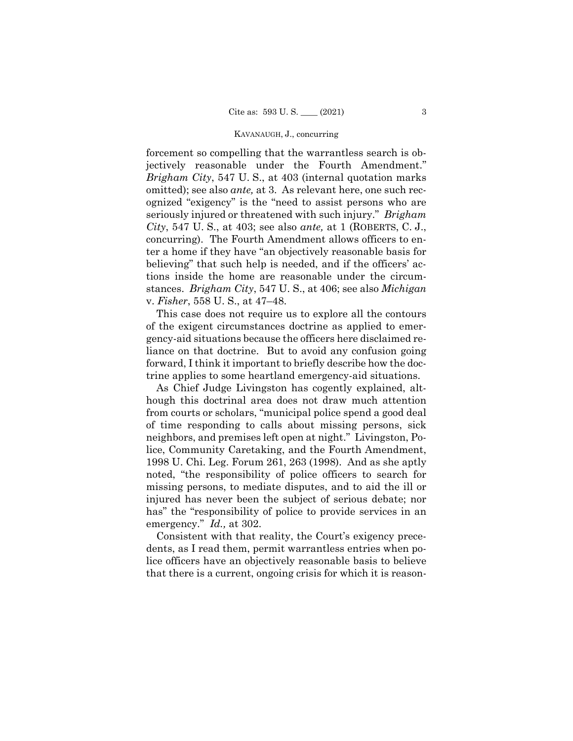#### KAVANAUGH, J., concurring

forcement so compelling that the warrantless search is objectively reasonable under the Fourth Amendment." *Brigham City*, 547 U. S., at 403 (internal quotation marks omitted); see also *ante,* at 3. As relevant here, one such recognized "exigency" is the "need to assist persons who are seriously injured or threatened with such injury." *Brigham City*, 547 U. S., at 403; see also *ante,* at 1 (ROBERTS, C. J., concurring). The Fourth Amendment allows officers to enter a home if they have "an objectively reasonable basis for believing" that such help is needed, and if the officers' actions inside the home are reasonable under the circumstances. *Brigham City*, 547 U. S., at 406; see also *Michigan*  v. *Fisher*, 558 U. S., at 47–48.

This case does not require us to explore all the contours of the exigent circumstances doctrine as applied to emergency-aid situations because the officers here disclaimed reliance on that doctrine. But to avoid any confusion going forward, I think it important to briefly describe how the doctrine applies to some heartland emergency-aid situations.

As Chief Judge Livingston has cogently explained, although this doctrinal area does not draw much attention from courts or scholars, "municipal police spend a good deal of time responding to calls about missing persons, sick neighbors, and premises left open at night." Livingston, Police, Community Caretaking, and the Fourth Amendment, 1998 U. Chi. Leg. Forum 261, 263 (1998). And as she aptly noted, "the responsibility of police officers to search for missing persons, to mediate disputes, and to aid the ill or injured has never been the subject of serious debate; nor has" the "responsibility of police to provide services in an emergency." *Id.,* at 302.

Consistent with that reality, the Court's exigency precedents, as I read them, permit warrantless entries when police officers have an objectively reasonable basis to believe that there is a current, ongoing crisis for which it is reason-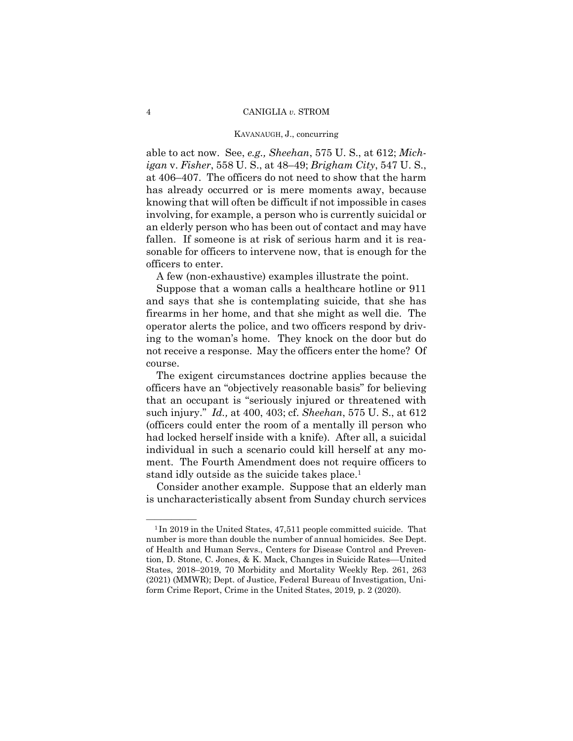#### KAVANAUGH, J., concurring

able to act now. See, *e.g., Sheehan*, 575 U. S., at 612; *Michigan* v. *Fisher*, 558 U. S., at 48–49; *Brigham City*, 547 U. S., at 406–407. The officers do not need to show that the harm has already occurred or is mere moments away, because knowing that will often be difficult if not impossible in cases involving, for example, a person who is currently suicidal or an elderly person who has been out of contact and may have fallen. If someone is at risk of serious harm and it is reasonable for officers to intervene now, that is enough for the officers to enter.

A few (non-exhaustive) examples illustrate the point.

Suppose that a woman calls a healthcare hotline or 911 and says that she is contemplating suicide, that she has firearms in her home, and that she might as well die. The operator alerts the police, and two officers respond by driving to the woman's home. They knock on the door but do not receive a response. May the officers enter the home? Of course.

 such injury." *Id.,* at 400, 403; cf. *Sheehan*, 575 U. S., at 612 The exigent circumstances doctrine applies because the officers have an "objectively reasonable basis" for believing that an occupant is "seriously injured or threatened with (officers could enter the room of a mentally ill person who had locked herself inside with a knife). After all, a suicidal individual in such a scenario could kill herself at any moment. The Fourth Amendment does not require officers to stand idly outside as the suicide takes place.1

Consider another example. Suppose that an elderly man is uncharacteristically absent from Sunday church services

 $1$ In 2019 in the United States, 47,511 people committed suicide. That number is more than double the number of annual homicides. See Dept. of Health and Human Servs., Centers for Disease Control and Prevention, D. Stone, C. Jones, & K. Mack, Changes in Suicide Rates––United States, 2018–2019, 70 Morbidity and Mortality Weekly Rep. 261, 263 (2021) (MMWR); Dept. of Justice, Federal Bureau of Investigation, Uniform Crime Report, Crime in the United States, 2019, p. 2 (2020).